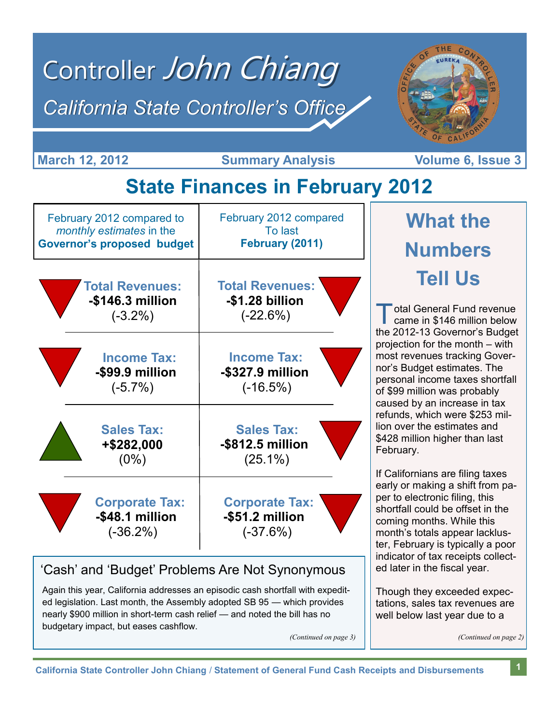# Controller John Chiang *California State Controller's Office*



**March 12, 2012 Conserverse Summary Analysis Volume 6, Issue 3** 

**Volume 6, Issue 3** 

## **State Finances in February 2012**

| February 2012 compared to         | February 2012 compared |  |
|-----------------------------------|------------------------|--|
| monthly estimates in the          | To last                |  |
| <b>Governor's proposed budget</b> | February (2011)        |  |
| <b>Total Revenues:</b>            | <b>Total Revenues:</b> |  |
| -\$146.3 million                  | -\$1.28 billion        |  |
| $(-3.2\%)$                        | $(-22.6%)$             |  |
| <b>Income Tax:</b>                | <b>Income Tax:</b>     |  |
| -\$99.9 million                   | -\$327.9 million       |  |
| $(-5.7\%)$                        | $(-16.5%)$             |  |
| <b>Sales Tax:</b>                 | <b>Sales Tax:</b>      |  |
| +\$282,000                        | -\$812.5 million       |  |
| $(0\%)$                           | $(25.1\%)$             |  |
| <b>Corporate Tax:</b>             | <b>Corporate Tax:</b>  |  |
| -\$48.1 million                   | -\$51.2 million        |  |
| $(-36.2\%)$                       | $(-37.6%)$             |  |

#### 'Cash' and 'Budget' Problems Are Not Synonymous

Again this year, California addresses an episodic cash shortfall with expedited legislation. Last month, the Assembly adopted SB 95 — which provides nearly \$900 million in short-term cash relief — and noted the bill has no budgetary impact, but eases cashflow.

# **What the Numbers Tell Us**

 $\overline{\mathbb{T}}$ otal General Fund revenue came in \$146 million below the 2012-13 Governor's Budget projection for the month – with most revenues tracking Governor's Budget estimates. The personal income taxes shortfall of \$99 million was probably caused by an increase in tax refunds, which were \$253 million over the estimates and \$428 million higher than last February.

If Californians are filing taxes early or making a shift from paper to electronic filing, this shortfall could be offset in the coming months. While this month's totals appear lackluster, February is typically a poor indicator of tax receipts collected later in the fiscal year.

Though they exceeded expectations, sales tax revenues are well below last year due to a

*(Continued on page 3) (Continued on page 2)*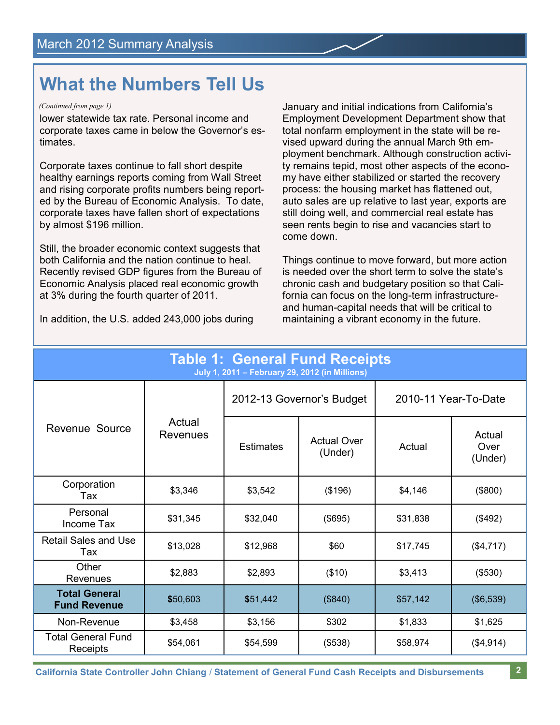### **What the Numbers Tell Us**

#### *(Continued from page 1)*

lower statewide tax rate. Personal income and corporate taxes came in below the Governor's estimates.

Corporate taxes continue to fall short despite healthy earnings reports coming from Wall Street and rising corporate profits numbers being reported by the Bureau of Economic Analysis. To date, corporate taxes have fallen short of expectations by almost \$196 million.

Still, the broader economic context suggests that both California and the nation continue to heal. Recently revised GDP figures from the Bureau of Economic Analysis placed real economic growth at 3% during the fourth quarter of 2011.

In addition, the U.S. added 243,000 jobs during

January and initial indications from California's Employment Development Department show that total nonfarm employment in the state will be revised upward during the annual March 9th employment benchmark. Although construction activity remains tepid, most other aspects of the economy have either stabilized or started the recovery process: the housing market has flattened out, auto sales are up relative to last year, exports are still doing well, and commercial real estate has seen rents begin to rise and vacancies start to come down.

Things continue to move forward, but more action is needed over the short term to solve the state's chronic cash and budgetary position so that California can focus on the long-term infrastructureand human-capital needs that will be critical to maintaining a vibrant economy in the future.

| <b>Table 1: General Fund Receipts</b><br>July 1, 2011 - February 29, 2012 (in Millions) |                           |                           |                               |                      |                           |  |
|-----------------------------------------------------------------------------------------|---------------------------|---------------------------|-------------------------------|----------------------|---------------------------|--|
| Revenue Source                                                                          |                           | 2012-13 Governor's Budget |                               | 2010-11 Year-To-Date |                           |  |
|                                                                                         | Actual<br><b>Revenues</b> | <b>Estimates</b>          | <b>Actual Over</b><br>(Under) | Actual               | Actual<br>Over<br>(Under) |  |
| Corporation<br>Tax                                                                      | \$3,346                   | \$3,542                   | (\$196)                       | \$4,146              | (\$800)                   |  |
| Personal<br>Income Tax                                                                  | \$31,345                  | \$32,040                  | (\$695)                       | \$31,838             | (\$492)                   |  |
| <b>Retail Sales and Use</b><br>Tax                                                      | \$13,028                  | \$12,968                  | \$60                          | \$17,745             | (\$4,717)                 |  |
| Other<br>Revenues                                                                       | \$2,883                   | \$2,893                   | (\$10)                        | \$3,413              | (\$530)                   |  |
| <b>Total General</b><br><b>Fund Revenue</b>                                             | \$50,603                  | \$51,442                  | (\$840)                       | \$57,142             | (\$6,539)                 |  |
| Non-Revenue                                                                             | \$3,458                   | \$3,156                   | \$302                         | \$1,833              | \$1,625                   |  |
| <b>Total General Fund</b><br>Receipts                                                   | \$54,061                  | \$54,599                  | (\$538)                       | \$58,974             | (\$4,914)                 |  |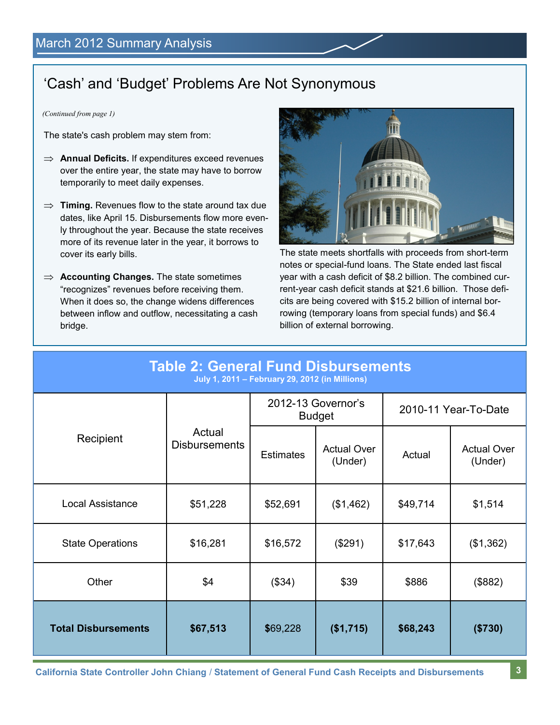#### 'Cash' and 'Budget' Problems Are Not Synonymous

*(Continued from page 1)*

The state's cash problem may stem from:

- $\implies$  **Annual Deficits.** If expenditures exceed revenues over the entire year, the state may have to borrow temporarily to meet daily expenses.
- $\Rightarrow$  **Timing.** Revenues flow to the state around tax due dates, like April 15. Disbursements flow more evenly throughout the year. Because the state receives more of its revenue later in the year, it borrows to cover its early bills.
- $\implies$  **Accounting Changes.** The state sometimes "recognizes" revenues before receiving them. When it does so, the change widens differences between inflow and outflow, necessitating a cash bridge.



The state meets shortfalls with proceeds from short-term notes or special-fund loans. The State ended last fiscal year with a cash deficit of \$8.2 billion. The combined current-year cash deficit stands at \$21.6 billion. Those deficits are being covered with \$15.2 billion of internal borrowing (temporary loans from special funds) and \$6.4 billion of external borrowing.

| <b>Table 2: General Fund Disbursements</b><br>July 1, 2011 - February 29, 2012 (in Millions) |                                |                                     |                               |                      |                               |
|----------------------------------------------------------------------------------------------|--------------------------------|-------------------------------------|-------------------------------|----------------------|-------------------------------|
|                                                                                              |                                | 2012-13 Governor's<br><b>Budget</b> |                               | 2010-11 Year-To-Date |                               |
| Recipient                                                                                    | Actual<br><b>Disbursements</b> | <b>Estimates</b>                    | <b>Actual Over</b><br>(Under) | Actual               | <b>Actual Over</b><br>(Under) |
| <b>Local Assistance</b>                                                                      | \$51,228                       | \$52,691                            | (\$1,462)                     | \$49,714             | \$1,514                       |
| <b>State Operations</b>                                                                      | \$16,281                       | \$16,572                            | (\$291)                       | \$17,643             | (\$1,362)                     |
| Other                                                                                        | \$4                            | (\$34)                              | \$39                          | \$886                | (\$882)                       |
| <b>Total Disbursements</b>                                                                   | \$67,513                       | \$69,228                            | (\$1,715)                     | \$68,243             | (\$730)                       |